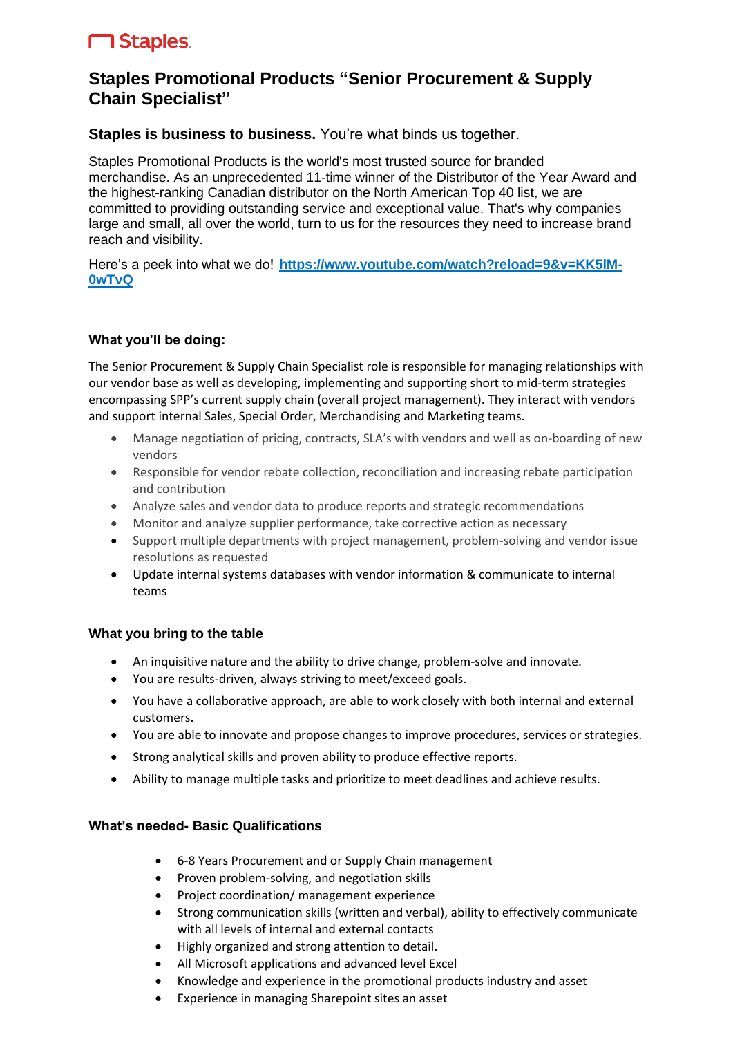# **M** Staples

# **Staples Promotional Products "Senior Procurement & Supply Chain Specialist"**

# **Staples is business to business.** You're what binds us together.

Staples Promotional Products is the world's most trusted source for branded merchandise. As an unprecedented 11-time winner of the Distributor of the Year Award and the highest-ranking Canadian distributor on the North American Top 40 list, we are committed to providing outstanding service and exceptional value. That's why companies large and small, all over the world, turn to us for the resources they need to increase brand reach and visibility.

Here's a peek into what we do! https://www.youtube.com/watch?reload=9&v=KK5IM-**[0wTvQ](https://www.youtube.com/watch?reload=9&v=KK5lM-0wTvQ)**

#### **What you'll be doing:**

The Senior Procurement & Supply Chain Specialist role is responsible for managing relationships with our vendor base as well as developing, implementing and supporting short to mid-term strategies encompassing SPP's current supply chain (overall project management). They interact with vendors and support internal Sales, Special Order, Merchandising and Marketing teams.

- Manage negotiation of pricing, contracts, SLA's with vendors and well as on-boarding of new vendors
- Responsible for vendor rebate collection, reconciliation and increasing rebate participation and contribution
- Analyze sales and vendor data to produce reports and strategic recommendations
- Monitor and analyze supplier performance, take corrective action as necessary
- Support multiple departments with project management, problem-solving and vendor issue resolutions as requested
- Update internal systems databases with vendor information & communicate to internal teams

#### **What you bring to the table**

- An inquisitive nature and the ability to drive change, problem-solve and innovate.
- You are results-driven, always striving to meet/exceed goals.
- You have a collaborative approach, are able to work closely with both internal and external customers.
- You are able to innovate and propose changes to improve procedures, services or strategies.
- Strong analytical skills and proven ability to produce effective reports.
- Ability to manage multiple tasks and prioritize to meet deadlines and achieve results.

# **What's needed- Basic Qualifications**

- 6-8 Years Procurement and or Supply Chain management
- Proven problem-solving, and negotiation skills
- Project coordination/ management experience
- Strong communication skills (written and verbal), ability to effectively communicate with all levels of internal and external contacts
- Highly organized and strong attention to detail.
- All Microsoft applications and advanced level Excel
- Knowledge and experience in the promotional products industry and asset
- Experience in managing Sharepoint sites an asset